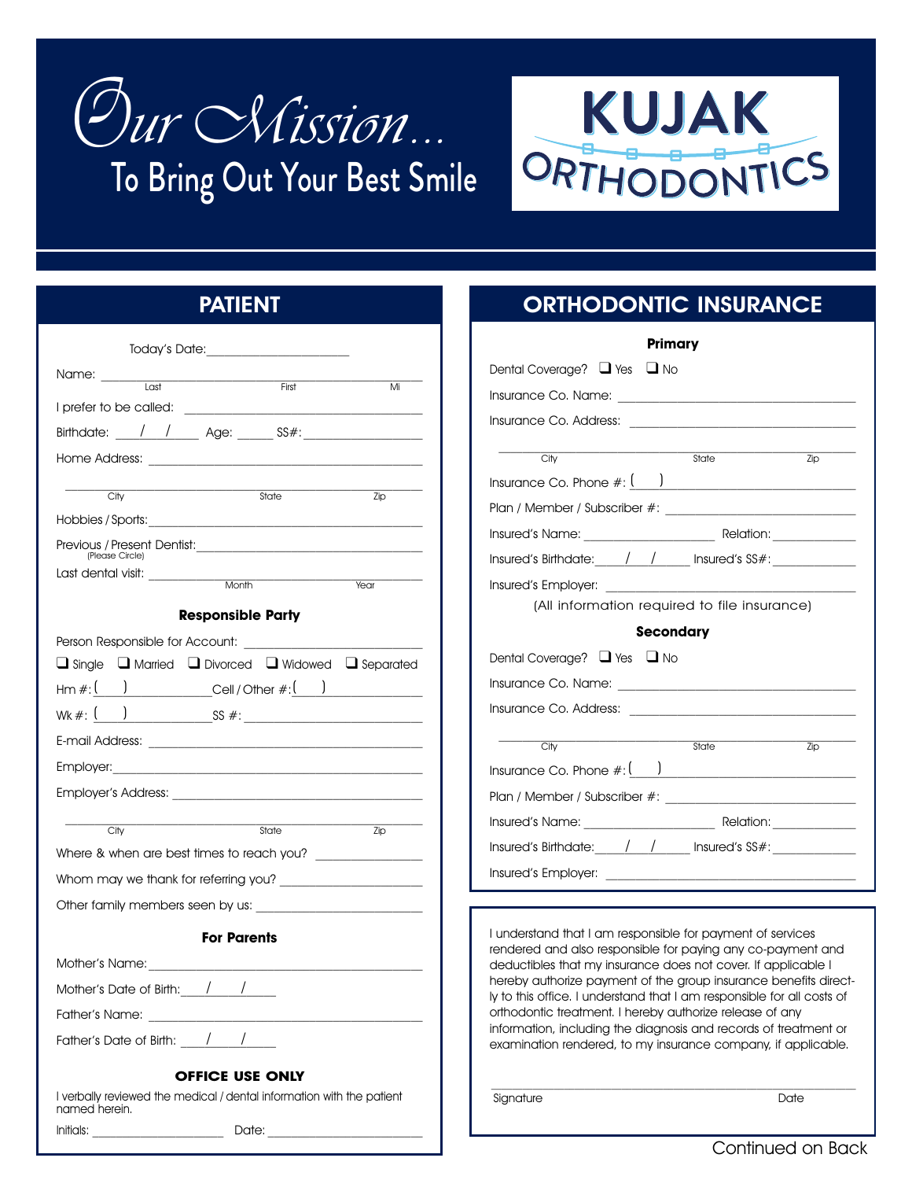



## **PATIENT**

| $\overline{last}$                                                                                                                                                                                                             |                          |      |
|-------------------------------------------------------------------------------------------------------------------------------------------------------------------------------------------------------------------------------|--------------------------|------|
|                                                                                                                                                                                                                               | First                    | Mi   |
| Birthdate: / / Age: SS#:                                                                                                                                                                                                      |                          |      |
| Home Address: The contract of the contract of the contract of the contract of the contract of the contract of the contract of the contract of the contract of the contract of the contract of the contract of the contract of |                          |      |
|                                                                                                                                                                                                                               |                          |      |
| City                                                                                                                                                                                                                          | State                    | Zip  |
|                                                                                                                                                                                                                               |                          |      |
| (Please Circle)                                                                                                                                                                                                               |                          |      |
|                                                                                                                                                                                                                               |                          | Year |
|                                                                                                                                                                                                                               |                          |      |
|                                                                                                                                                                                                                               | <b>Responsible Party</b> |      |
|                                                                                                                                                                                                                               |                          |      |
| $\Box$ Single $\Box$ Married $\Box$ Divorced $\Box$ Widowed $\Box$ Separated                                                                                                                                                  |                          |      |
| $\mathsf{Hm}\,\#_!(\phantom{aa})$ Cell / Other $\#_!(\phantom{aa})$                                                                                                                                                           |                          |      |
|                                                                                                                                                                                                                               |                          |      |
|                                                                                                                                                                                                                               |                          |      |
|                                                                                                                                                                                                                               |                          |      |
|                                                                                                                                                                                                                               |                          |      |
| City                                                                                                                                                                                                                          | State                    | Zip  |
|                                                                                                                                                                                                                               |                          |      |
| Whom may we thank for referring you?                                                                                                                                                                                          |                          |      |
| Other family members seen by us:                                                                                                                                                                                              |                          |      |
|                                                                                                                                                                                                                               | <b>For Parents</b>       |      |
|                                                                                                                                                                                                                               |                          |      |
| Mother's Date of Birth: / /                                                                                                                                                                                                   |                          |      |
| Father's Name:                                                                                                                                                                                                                |                          |      |
| Father's Date of Birth: / /                                                                                                                                                                                                   |                          |      |
|                                                                                                                                                                                                                               |                          |      |
|                                                                                                                                                                                                                               | <b>OFFICE USE ONLY</b>   |      |
| I verbally reviewed the medical / dental information with the patient<br>named herein.                                                                                                                                        |                          |      |
| Initials:                                                                                                                                                                                                                     | Date:                    |      |

## **ORTHODONTIC INSURANCE**

| Primary                                      |                                            |  |  |  |  |
|----------------------------------------------|--------------------------------------------|--|--|--|--|
| Dental Coverage? $\Box$ Yes $\Box$ No        |                                            |  |  |  |  |
|                                              |                                            |  |  |  |  |
|                                              |                                            |  |  |  |  |
|                                              |                                            |  |  |  |  |
| City                                         | State<br>Zip                               |  |  |  |  |
|                                              | Insurance Co. Phone $\#:\underline{(-,-)}$ |  |  |  |  |
|                                              |                                            |  |  |  |  |
|                                              |                                            |  |  |  |  |
|                                              |                                            |  |  |  |  |
| Insured's Employer:                          |                                            |  |  |  |  |
| (All information required to file insurance) |                                            |  |  |  |  |
|                                              |                                            |  |  |  |  |
|                                              | <b>Secondary</b>                           |  |  |  |  |
| Dental Coverage? $\Box$ Yes $\Box$ No        |                                            |  |  |  |  |
|                                              |                                            |  |  |  |  |
|                                              |                                            |  |  |  |  |
|                                              |                                            |  |  |  |  |
| City                                         | State<br>Zip                               |  |  |  |  |
|                                              |                                            |  |  |  |  |
|                                              |                                            |  |  |  |  |
|                                              |                                            |  |  |  |  |
|                                              |                                            |  |  |  |  |

I understand that I am responsible for payment of services rendered and also responsible for paying any co-payment and deductibles that my insurance does not cover. If applicable I hereby authorize payment of the group insurance benefits directly to this office. I understand that I am responsible for all costs of orthodontic treatment. I hereby authorize release of any information, including the diagnosis and records of treatment or examination rendered, to my insurance company, if applicable.

 $\mathcal{L}_\text{max}$ 

Signature Date